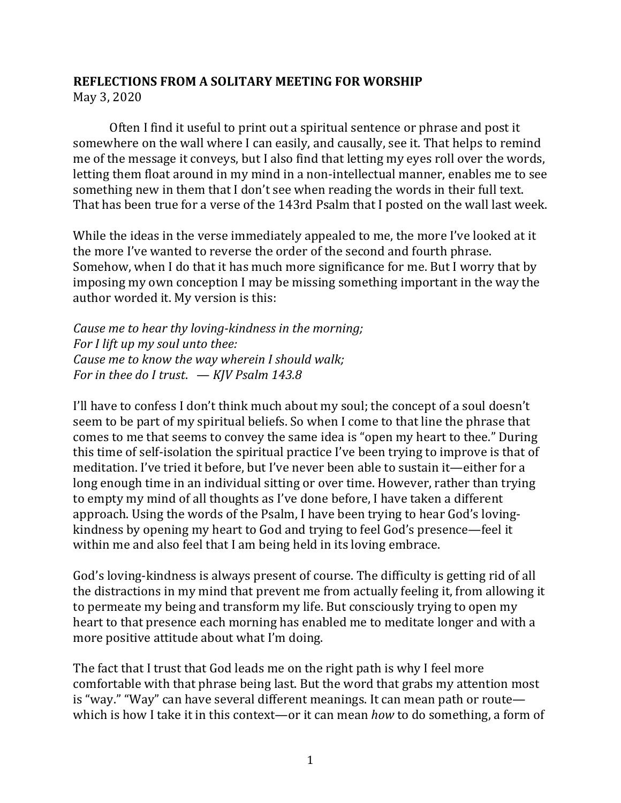## **REFLECTIONS FROM A SOLITARY MEETING FOR WORSHIP**

May 3, 2020

Often I find it useful to print out a spiritual sentence or phrase and post it somewhere on the wall where I can easily, and causally, see it. That helps to remind me of the message it conveys, but I also find that letting my eyes roll over the words, letting them float around in my mind in a non-intellectual manner, enables me to see something new in them that I don't see when reading the words in their full text. That has been true for a verse of the 143rd Psalm that I posted on the wall last week.

While the ideas in the verse immediately appealed to me, the more I've looked at it the more I've wanted to reverse the order of the second and fourth phrase. Somehow, when I do that it has much more significance for me. But I worry that by imposing my own conception I may be missing something important in the way the author worded it. My version is this:

Cause me to hear thy loving-kindness in the morning; For I lift up my soul unto thee: Cause me to know the way wherein I should walk; For in thee do I trust.  $-$  KJV Psalm 143.8

I'll have to confess I don't think much about my soul; the concept of a soul doesn't seem to be part of my spiritual beliefs. So when I come to that line the phrase that comes to me that seems to convey the same idea is "open my heart to thee." During this time of self-isolation the spiritual practice I've been trying to improve is that of meditation. I've tried it before, but I've never been able to sustain it—either for a long enough time in an individual sitting or over time. However, rather than trying to empty my mind of all thoughts as I've done before, I have taken a different approach. Using the words of the Psalm, I have been trying to hear God's lovingkindness by opening my heart to God and trying to feel God's presence—feel it within me and also feel that I am being held in its loving embrace.

God's loving-kindness is always present of course. The difficulty is getting rid of all the distractions in my mind that prevent me from actually feeling it, from allowing it to permeate my being and transform my life. But consciously trying to open my heart to that presence each morning has enabled me to meditate longer and with a more positive attitude about what I'm doing.

The fact that I trust that God leads me on the right path is why I feel more comfortable with that phrase being last. But the word that grabs my attention most is "way." "Way" can have several different meanings. It can mean path or route which is how I take it in this context—or it can mean how to do something, a form of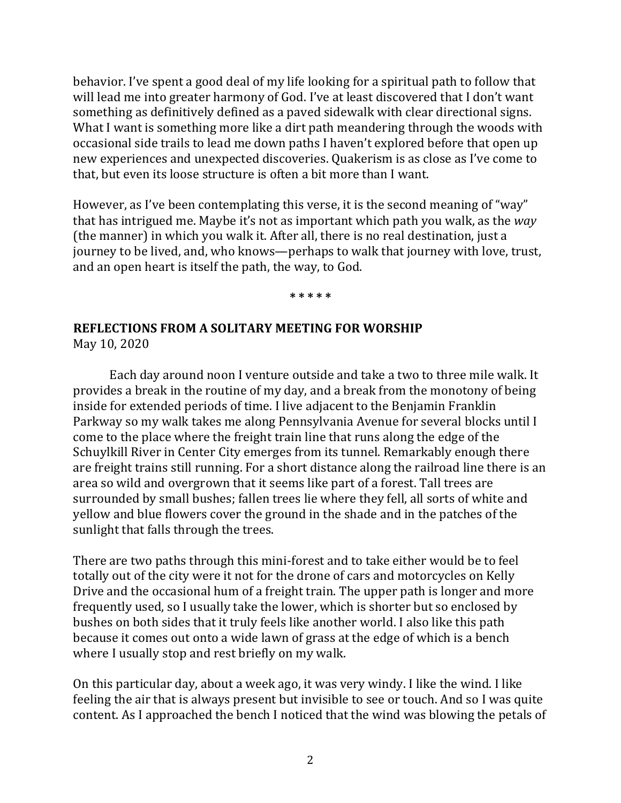behavior. I've spent a good deal of my life looking for a spiritual path to follow that will lead me into greater harmony of God. I've at least discovered that I don't want something as definitively defined as a payed sidewalk with clear directional signs. What I want is something more like a dirt path meandering through the woods with occasional side trails to lead me down paths I haven't explored before that open up new experiences and unexpected discoveries. Quakerism is as close as I've come to that, but even its loose structure is often a bit more than I want.

However, as I've been contemplating this verse, it is the second meaning of "way" that has intrigued me. Maybe it's not as important which path you walk, as the way (the manner) in which you walk it. After all, there is no real destination, just a journey to be lived, and, who knows—perhaps to walk that journey with love, trust, and an open heart is itself the path, the way, to God.

#### \*\*\*\*\*

#### **REFLECTIONS FROM A SOLITARY MEETING FOR WORSHIP** May 10, 2020

Each day around noon I venture outside and take a two to three mile walk. It provides a break in the routine of my day, and a break from the monotony of being inside for extended periods of time. I live adjacent to the Benjamin Franklin Parkway so my walk takes me along Pennsylvania Avenue for several blocks until I come to the place where the freight train line that runs along the edge of the Schuylkill River in Center City emerges from its tunnel. Remarkably enough there are freight trains still running. For a short distance along the railroad line there is an area so wild and overgrown that it seems like part of a forest. Tall trees are surrounded by small bushes; fallen trees lie where they fell, all sorts of white and yellow and blue flowers cover the ground in the shade and in the patches of the sunlight that falls through the trees.

There are two paths through this mini-forest and to take either would be to feel totally out of the city were it not for the drone of cars and motorcycles on Kelly Drive and the occasional hum of a freight train. The upper path is longer and more frequently used, so I usually take the lower, which is shorter but so enclosed by bushes on both sides that it truly feels like another world. I also like this path because it comes out onto a wide lawn of grass at the edge of which is a bench where I usually stop and rest briefly on my walk.

On this particular day, about a week ago, it was very windy. I like the wind. I like feeling the air that is always present but invisible to see or touch. And so I was quite content. As I approached the bench I noticed that the wind was blowing the petals of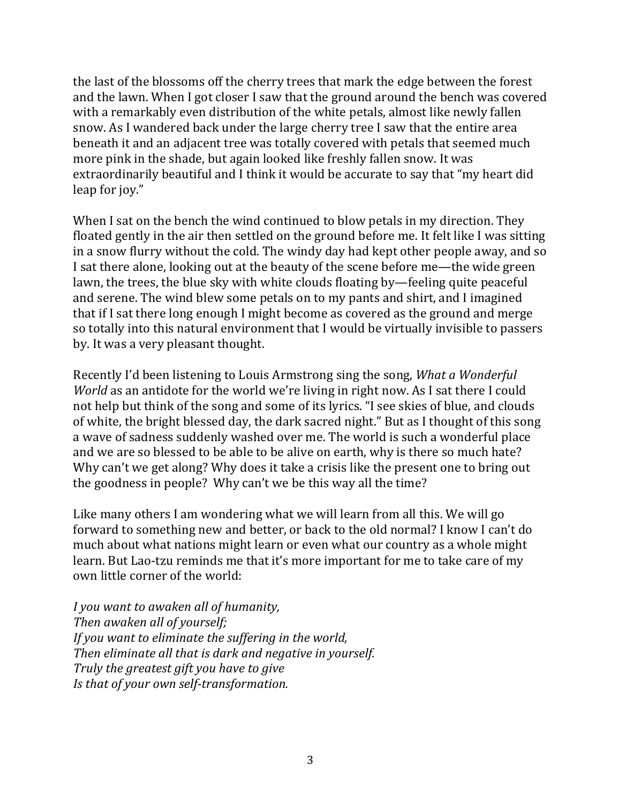the last of the blossoms off the cherry trees that mark the edge between the forest and the lawn. When I got closer I saw that the ground around the bench was covered with a remarkably even distribution of the white petals, almost like newly fallen snow. As I wandered back under the large cherry tree I saw that the entire area beneath it and an adjacent tree was totally covered with petals that seemed much more pink in the shade, but again looked like freshly fallen snow. It was extraordinarily beautiful and I think it would be accurate to say that "my heart did leap for joy."

When I sat on the bench the wind continued to blow petals in my direction. They floated gently in the air then settled on the ground before me. It felt like I was sitting in a snow flurry without the cold. The windy day had kept other people away, and so I sat there alone, looking out at the beauty of the scene before me—the wide green lawn, the trees, the blue sky with white clouds floating by—feeling quite peaceful and serene. The wind blew some petals on to my pants and shirt, and I imagined that if I sat there long enough I might become as covered as the ground and merge so totally into this natural environment that I would be virtually invisible to passers by. It was a very pleasant thought.

Recently I'd been listening to Louis Armstrong sing the song, *What a Wonderful World* as an antidote for the world we're living in right now. As I sat there I could not help but think of the song and some of its lyrics. "I see skies of blue, and clouds of white, the bright blessed day, the dark sacred night." But as I thought of this song a wave of sadness suddenly washed over me. The world is such a wonderful place and we are so blessed to be able to be alive on earth, why is there so much hate? Why can't we get along? Why does it take a crisis like the present one to bring out the goodness in people? Why can't we be this way all the time?

Like many others I am wondering what we will learn from all this. We will go forward to something new and better, or back to the old normal? I know I can't do much about what nations might learn or even what our country as a whole might learn. But Lao-tzu reminds me that it's more important for me to take care of my own little corner of the world:

*I* you want to awaken all of humanity, *Then awaken all of yourself; If you want to eliminate the suffering in the world, Then eliminate all that is dark and negative in yourself. Truly the greatest gift you have to give Is that of your own self-transformation.*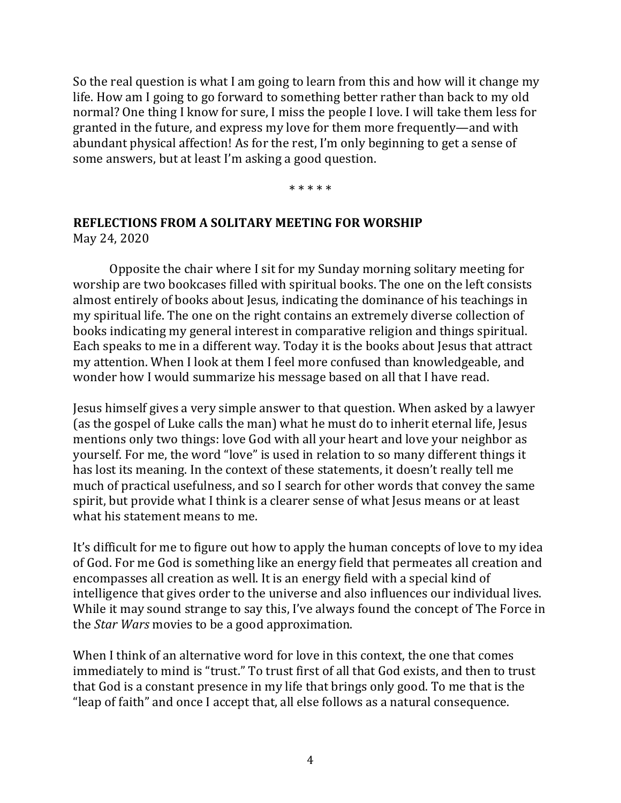So the real question is what I am going to learn from this and how will it change my life. How am I going to go forward to something better rather than back to my old normal? One thing I know for sure, I miss the people I love. I will take them less for granted in the future, and express my love for them more frequently—and with abundant physical affection! As for the rest, I'm only beginning to get a sense of some answers, but at least I'm asking a good question.

\* \* \* \* \*

### **REFLECTIONS FROM A SOLITARY MEETING FOR WORSHIP** May 24, 2020

Opposite the chair where I sit for my Sunday morning solitary meeting for worship are two bookcases filled with spiritual books. The one on the left consists almost entirely of books about Jesus, indicating the dominance of his teachings in my spiritual life. The one on the right contains an extremely diverse collection of books indicating my general interest in comparative religion and things spiritual. Each speaks to me in a different way. Today it is the books about Jesus that attract my attention. When I look at them I feel more confused than knowledgeable, and wonder how I would summarize his message based on all that I have read.

Jesus himself gives a very simple answer to that question. When asked by a lawyer (as the gospel of Luke calls the man) what he must do to inherit eternal life, Jesus mentions only two things: love God with all your heart and love your neighbor as yourself. For me, the word "love" is used in relation to so many different things it has lost its meaning. In the context of these statements, it doesn't really tell me much of practical usefulness, and so I search for other words that convey the same spirit, but provide what I think is a clearer sense of what Jesus means or at least what his statement means to me.

It's difficult for me to figure out how to apply the human concepts of love to my idea of God. For me God is something like an energy field that permeates all creation and encompasses all creation as well. It is an energy field with a special kind of intelligence that gives order to the universe and also influences our individual lives. While it may sound strange to say this, I've always found the concept of The Force in the *Star Wars* movies to be a good approximation.

When I think of an alternative word for love in this context, the one that comes immediately to mind is "trust." To trust first of all that God exists, and then to trust that God is a constant presence in my life that brings only good. To me that is the "leap of faith" and once I accept that, all else follows as a natural consequence.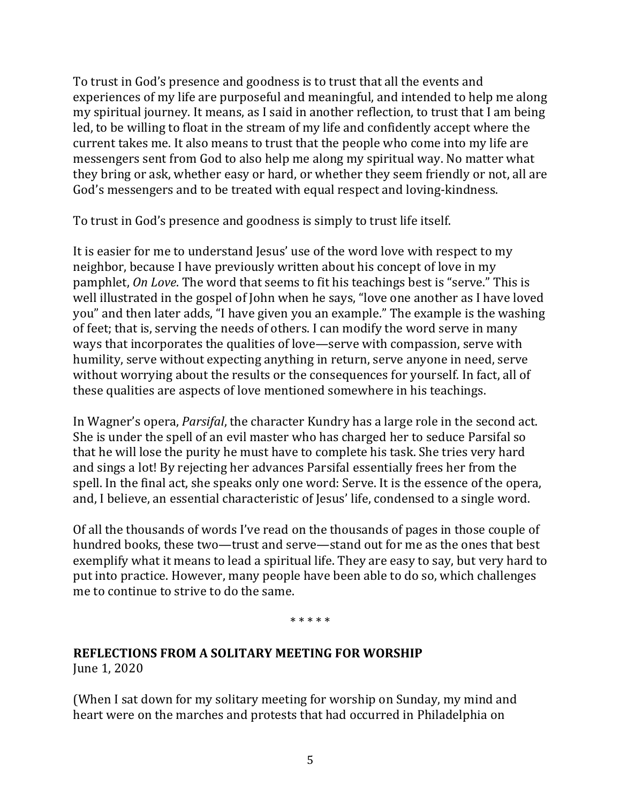To trust in God's presence and goodness is to trust that all the events and experiences of my life are purposeful and meaningful, and intended to help me along my spiritual journey. It means, as I said in another reflection, to trust that I am being led, to be willing to float in the stream of my life and confidently accept where the current takes me. It also means to trust that the people who come into my life are messengers sent from God to also help me along my spiritual way. No matter what they bring or ask, whether easy or hard, or whether they seem friendly or not, all are God's messengers and to be treated with equal respect and loving-kindness.

To trust in God's presence and goodness is simply to trust life itself.

It is easier for me to understand Jesus' use of the word love with respect to my neighbor, because I have previously written about his concept of love in my pamphlet, *On Love*. The word that seems to fit his teachings best is "serve." This is well illustrated in the gospel of John when he says, "love one another as I have loved you" and then later adds, "I have given you an example." The example is the washing of feet; that is, serving the needs of others. I can modify the word serve in many ways that incorporates the qualities of love—serve with compassion, serve with humility, serve without expecting anything in return, serve anyone in need, serve without worrying about the results or the consequences for yourself. In fact, all of these qualities are aspects of love mentioned somewhere in his teachings.

In Wagner's opera, *Parsifal*, the character Kundry has a large role in the second act. She is under the spell of an evil master who has charged her to seduce Parsifal so that he will lose the purity he must have to complete his task. She tries very hard and sings a lot! By rejecting her advances Parsifal essentially frees her from the spell. In the final act, she speaks only one word: Serve. It is the essence of the opera, and, I believe, an essential characteristic of Jesus' life, condensed to a single word.

Of all the thousands of words I've read on the thousands of pages in those couple of hundred books, these two—trust and serve—stand out for me as the ones that best exemplify what it means to lead a spiritual life. They are easy to say, but very hard to put into practice. However, many people have been able to do so, which challenges me to continue to strive to do the same.

#### \*\*\*\*\*

## REFLECTIONS FROM A SOLITARY MEETING FOR WORSHIP June 1, 2020

(When I sat down for my solitary meeting for worship on Sunday, my mind and heart were on the marches and protests that had occurred in Philadelphia on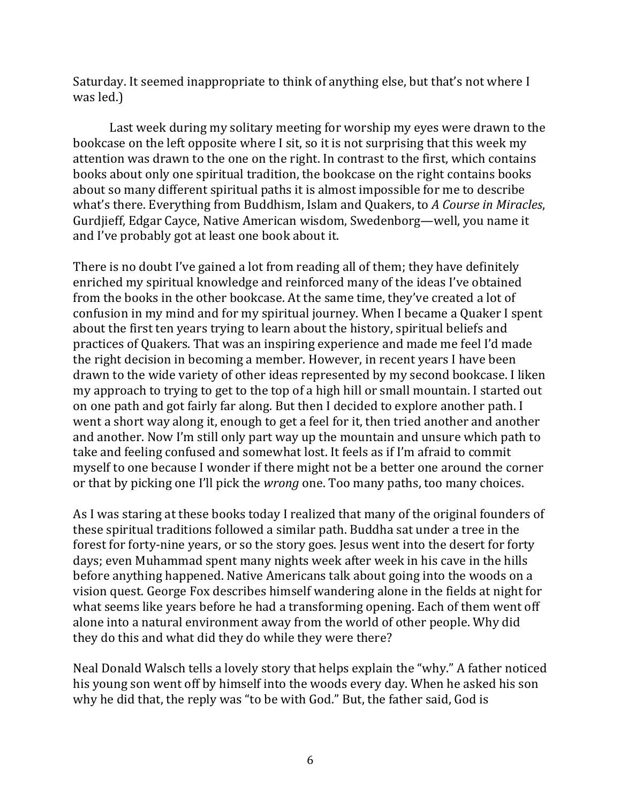Saturday. It seemed inappropriate to think of anything else, but that's not where I was led.)

Last week during my solitary meeting for worship my eyes were drawn to the bookcase on the left opposite where I sit, so it is not surprising that this week my attention was drawn to the one on the right. In contrast to the first, which contains books about only one spiritual tradition, the bookcase on the right contains books about so many different spiritual paths it is almost impossible for me to describe what's there. Everything from Buddhism, Islam and Quakers, to *A Course in Miracles*, Gurdjieff, Edgar Cayce, Native American wisdom, Swedenborg—well, you name it and I've probably got at least one book about it.

There is no doubt I've gained a lot from reading all of them; they have definitely enriched my spiritual knowledge and reinforced many of the ideas I've obtained from the books in the other bookcase. At the same time, they've created a lot of confusion in my mind and for my spiritual journey. When I became a Quaker I spent about the first ten years trying to learn about the history, spiritual beliefs and practices of Quakers. That was an inspiring experience and made me feel I'd made the right decision in becoming a member. However, in recent years I have been drawn to the wide variety of other ideas represented by my second bookcase. I liken my approach to trying to get to the top of a high hill or small mountain. I started out on one path and got fairly far along. But then I decided to explore another path. I went a short way along it, enough to get a feel for it, then tried another and another and another. Now I'm still only part way up the mountain and unsure which path to take and feeling confused and somewhat lost. It feels as if I'm afraid to commit myself to one because I wonder if there might not be a better one around the corner or that by picking one I'll pick the *wrong* one. Too many paths, too many choices.

As I was staring at these books today I realized that many of the original founders of these spiritual traditions followed a similar path. Buddha sat under a tree in the forest for forty-nine years, or so the story goes. Jesus went into the desert for forty days; even Muhammad spent many nights week after week in his cave in the hills before anything happened. Native Americans talk about going into the woods on a vision quest. George Fox describes himself wandering alone in the fields at night for what seems like years before he had a transforming opening. Each of them went off alone into a natural environment away from the world of other people. Why did they do this and what did they do while they were there?

Neal Donald Walsch tells a lovely story that helps explain the "why." A father noticed his young son went off by himself into the woods every day. When he asked his son why he did that, the reply was "to be with God." But, the father said, God is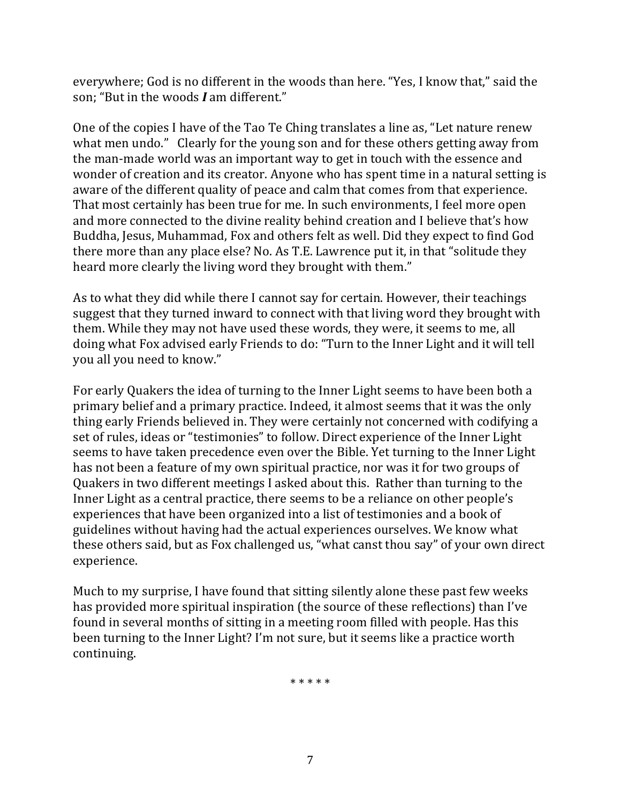everywhere; God is no different in the woods than here. "Yes, I know that," said the son: "But in the woods I am different."

One of the copies I have of the Tao Te Ching translates a line as, "Let nature renew what men undo." Clearly for the young son and for these others getting away from the man-made world was an important way to get in touch with the essence and wonder of creation and its creator. Anyone who has spent time in a natural setting is aware of the different quality of peace and calm that comes from that experience. That most certainly has been true for me. In such environments, I feel more open and more connected to the divine reality behind creation and I believe that's how Buddha, Jesus, Muhammad, Fox and others felt as well. Did they expect to find God there more than any place else? No. As T.E. Lawrence put it, in that "solitude they heard more clearly the living word they brought with them."

As to what they did while there I cannot say for certain. However, their teachings suggest that they turned inward to connect with that living word they brought with them. While they may not have used these words, they were, it seems to me, all doing what Fox advised early Friends to do: "Turn to the Inner Light and it will tell you all you need to know."

For early Quakers the idea of turning to the Inner Light seems to have been both a primary belief and a primary practice. Indeed, it almost seems that it was the only thing early Friends believed in. They were certainly not concerned with codifying a set of rules, ideas or "testimonies" to follow. Direct experience of the Inner Light seems to have taken precedence even over the Bible. Yet turning to the Inner Light has not been a feature of my own spiritual practice, nor was it for two groups of Quakers in two different meetings I asked about this. Rather than turning to the Inner Light as a central practice, there seems to be a reliance on other people's experiences that have been organized into a list of testimonies and a book of guidelines without having had the actual experiences ourselves. We know what these others said, but as Fox challenged us, "what canst thou say" of your own direct experience.

Much to my surprise. I have found that sitting silently alone these past few weeks has provided more spiritual inspiration (the source of these reflections) than I've found in several months of sitting in a meeting room filled with people. Has this been turning to the Inner Light? I'm not sure, but it seems like a practice worth continuing.

\*\*\*\*\*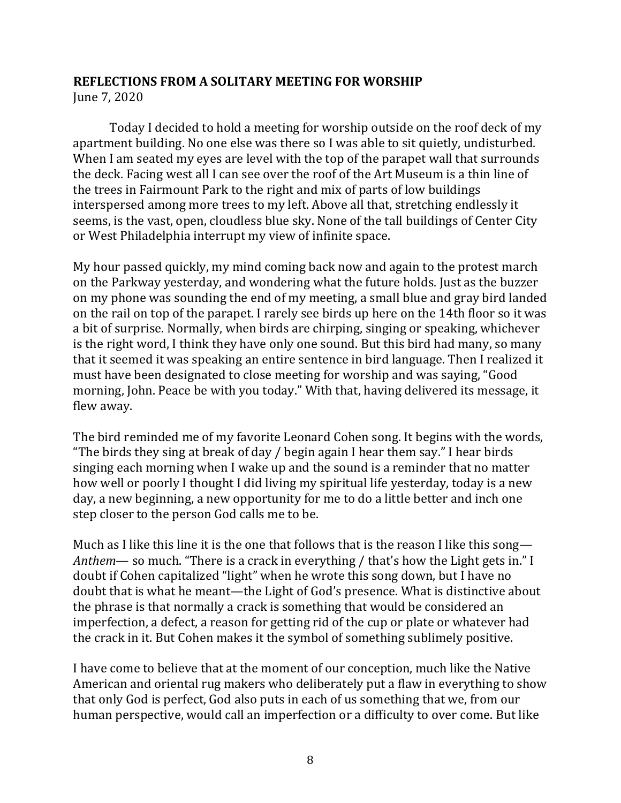#### **REFLECTIONS FROM A SOLITARY MEETING FOR WORSHIP** June 7, 2020

Today I decided to hold a meeting for worship outside on the roof deck of my apartment building. No one else was there so I was able to sit quietly, undisturbed. When I am seated my eyes are level with the top of the parapet wall that surrounds the deck. Facing west all I can see over the roof of the Art Museum is a thin line of the trees in Fairmount Park to the right and mix of parts of low buildings interspersed among more trees to my left. Above all that, stretching endlessly it seems, is the vast, open, cloudless blue sky. None of the tall buildings of Center City or West Philadelphia interrupt my view of infinite space.

My hour passed quickly, my mind coming back now and again to the protest march on the Parkway yesterday, and wondering what the future holds. Just as the buzzer on my phone was sounding the end of my meeting, a small blue and gray bird landed on the rail on top of the parapet. I rarely see birds up here on the 14th floor so it was a bit of surprise. Normally, when birds are chirping, singing or speaking, whichever is the right word, I think they have only one sound. But this bird had many, so many that it seemed it was speaking an entire sentence in bird language. Then I realized it must have been designated to close meeting for worship and was saying, "Good" morning, John. Peace be with you today." With that, having delivered its message, it flew away.

The bird reminded me of my favorite Leonard Cohen song. It begins with the words, "The birds they sing at break of day / begin again I hear them say." I hear birds singing each morning when I wake up and the sound is a reminder that no matter how well or poorly I thought I did living my spiritual life yesterday, today is a new day, a new beginning, a new opportunity for me to do a little better and inch one step closer to the person God calls me to be.

Much as I like this line it is the one that follows that is the reason I like this song— *Anthem*— so much. "There is a crack in everything / that's how the Light gets in." I doubt if Cohen capitalized "light" when he wrote this song down, but I have no doubt that is what he meant—the Light of God's presence. What is distinctive about the phrase is that normally a crack is something that would be considered an imperfection, a defect, a reason for getting rid of the cup or plate or whatever had the crack in it. But Cohen makes it the symbol of something sublimely positive.

I have come to believe that at the moment of our conception, much like the Native American and oriental rug makers who deliberately put a flaw in everything to show that only God is perfect, God also puts in each of us something that we, from our human perspective, would call an imperfection or a difficulty to over come. But like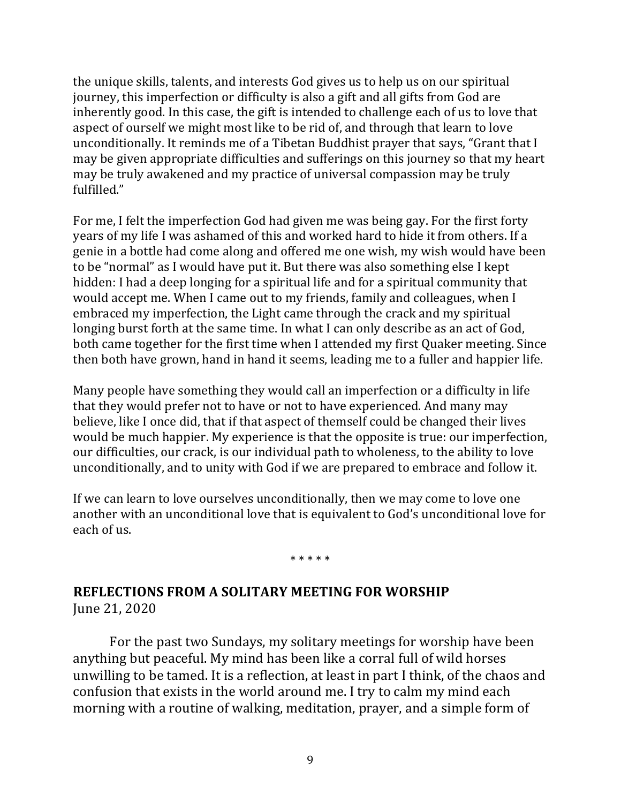the unique skills, talents, and interests God gives us to help us on our spiritual journey, this imperfection or difficulty is also a gift and all gifts from God are inherently good. In this case, the gift is intended to challenge each of us to love that aspect of ourself we might most like to be rid of, and through that learn to love unconditionally. It reminds me of a Tibetan Buddhist prayer that says, "Grant that I may be given appropriate difficulties and sufferings on this journey so that my heart may be truly awakened and my practice of universal compassion may be truly fulfilled."

For me, I felt the imperfection God had given me was being gay. For the first forty years of my life I was ashamed of this and worked hard to hide it from others. If a genie in a bottle had come along and offered me one wish, my wish would have been to be "normal" as I would have put it. But there was also something else I kept hidden: I had a deep longing for a spiritual life and for a spiritual community that would accept me. When I came out to my friends, family and colleagues, when I embraced my imperfection, the Light came through the crack and my spiritual longing burst forth at the same time. In what I can only describe as an act of God, both came together for the first time when I attended my first Quaker meeting. Since then both have grown, hand in hand it seems, leading me to a fuller and happier life.

Many people have something they would call an imperfection or a difficulty in life that they would prefer not to have or not to have experienced. And many may believe, like I once did, that if that aspect of themself could be changed their lives would be much happier. My experience is that the opposite is true: our imperfection, our difficulties, our crack, is our individual path to wholeness, to the ability to love unconditionally, and to unity with God if we are prepared to embrace and follow it.

If we can learn to love ourselves unconditionally, then we may come to love one another with an unconditional love that is equivalent to God's unconditional love for each of us.

\*\*\*\*\*

## **REFLECTIONS+FROM+A+SOLITARY+MEETING+FOR+WORSHIP** June 21, 2020

For the past two Sundays, my solitary meetings for worship have been anything but peaceful. My mind has been like a corral full of wild horses unwilling to be tamed. It is a reflection, at least in part I think, of the chaos and confusion that exists in the world around me. I try to calm my mind each morning with a routine of walking, meditation, prayer, and a simple form of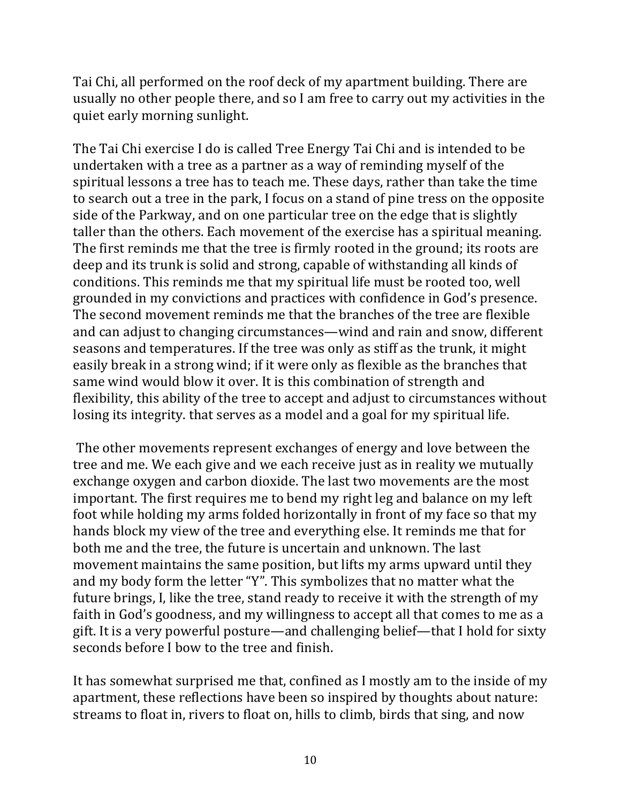Tai Chi, all performed on the roof deck of my apartment building. There are usually no other people there, and so I am free to carry out my activities in the quiet early morning sunlight.

The Tai Chi exercise I do is called Tree Energy Tai Chi and is intended to be undertaken with a tree as a partner as a way of reminding myself of the spiritual lessons a tree has to teach me. These days, rather than take the time to search out a tree in the park, I focus on a stand of pine tress on the opposite side of the Parkway, and on one particular tree on the edge that is slightly taller than the others. Each movement of the exercise has a spiritual meaning. The first reminds me that the tree is firmly rooted in the ground; its roots are deep and its trunk is solid and strong, capable of withstanding all kinds of conditions. This reminds me that my spiritual life must be rooted too, well grounded in my convictions and practices with confidence in God's presence. The second movement reminds me that the branches of the tree are flexible and can adjust to changing circumstances—wind and rain and snow, different seasons and temperatures. If the tree was only as stiff as the trunk, it might easily break in a strong wind; if it were only as flexible as the branches that same wind would blow it over. It is this combination of strength and flexibility, this ability of the tree to accept and adjust to circumstances without losing its integrity. that serves as a model and a goal for my spiritual life.

The other movements represent exchanges of energy and love between the tree and me. We each give and we each receive just as in reality we mutually exchange oxygen and carbon dioxide. The last two movements are the most important. The first requires me to bend my right leg and balance on my left foot while holding my arms folded horizontally in front of my face so that my hands block my view of the tree and everything else. It reminds me that for both me and the tree, the future is uncertain and unknown. The last movement maintains the same position, but lifts my arms upward until they and my body form the letter "Y". This symbolizes that no matter what the future brings, I, like the tree, stand ready to receive it with the strength of my faith in God's goodness, and my willingness to accept all that comes to me as a gift. It is a very powerful posture—and challenging belief—that I hold for sixty seconds before I bow to the tree and finish.

It has somewhat surprised me that, confined as I mostly am to the inside of my apartment, these reflections have been so inspired by thoughts about nature: streams to float in, rivers to float on, hills to climb, birds that sing, and now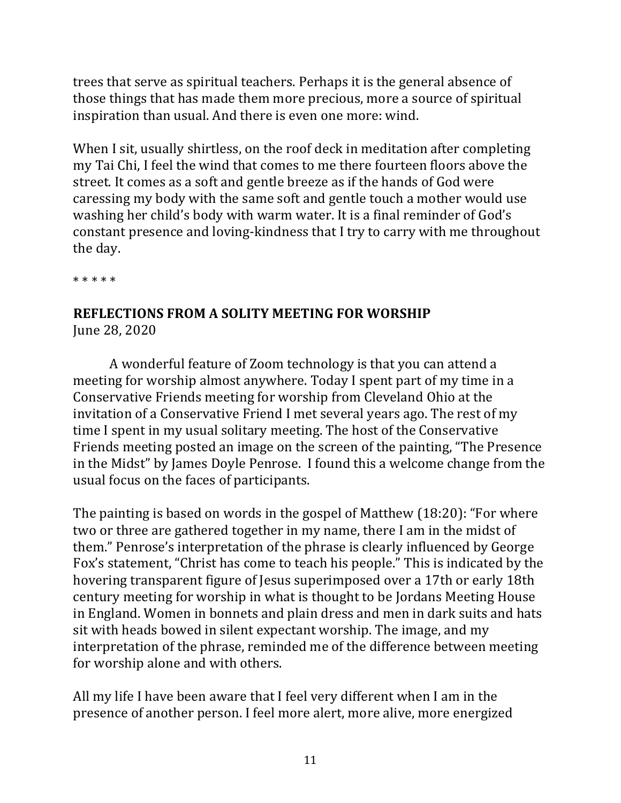trees that serve as spiritual teachers. Perhaps it is the general absence of those things that has made them more precious, more a source of spiritual inspiration than usual. And there is even one more: wind.

When I sit, usually shirtless, on the roof deck in meditation after completing my Tai Chi, I feel the wind that comes to me there fourteen floors above the street. It comes as a soft and gentle breeze as if the hands of God were caressing my body with the same soft and gentle touch a mother would use washing her child's body with warm water. It is a final reminder of God's constant presence and loving-kindness that I try to carry with me throughout the day.

\* \* \* \* \*

# **REFLECTIONS+FROM+A+SOLITY+MEETING+FOR+WORSHIP**

June 28, 2020

A wonderful feature of Zoom technology is that you can attend a meeting for worship almost anywhere. Today I spent part of my time in a Conservative Friends meeting for worship from Cleveland Ohio at the invitation of a Conservative Friend I met several years ago. The rest of my time I spent in my usual solitary meeting. The host of the Conservative Friends meeting posted an image on the screen of the painting, "The Presence" in the Midst" by James Doyle Penrose. I found this a welcome change from the usual focus on the faces of participants.

The painting is based on words in the gospel of Matthew (18:20): "For where two or three are gathered together in my name, there I am in the midst of them." Penrose's interpretation of the phrase is clearly influenced by George Fox's statement, "Christ has come to teach his people." This is indicated by the hovering transparent figure of Jesus superimposed over a 17th or early 18th century meeting for worship in what is thought to be Jordans Meeting House in England. Women in bonnets and plain dress and men in dark suits and hats sit with heads bowed in silent expectant worship. The image, and my interpretation of the phrase, reminded me of the difference between meeting for worship alone and with others.

All my life I have been aware that I feel very different when I am in the presence of another person. I feel more alert, more alive, more energized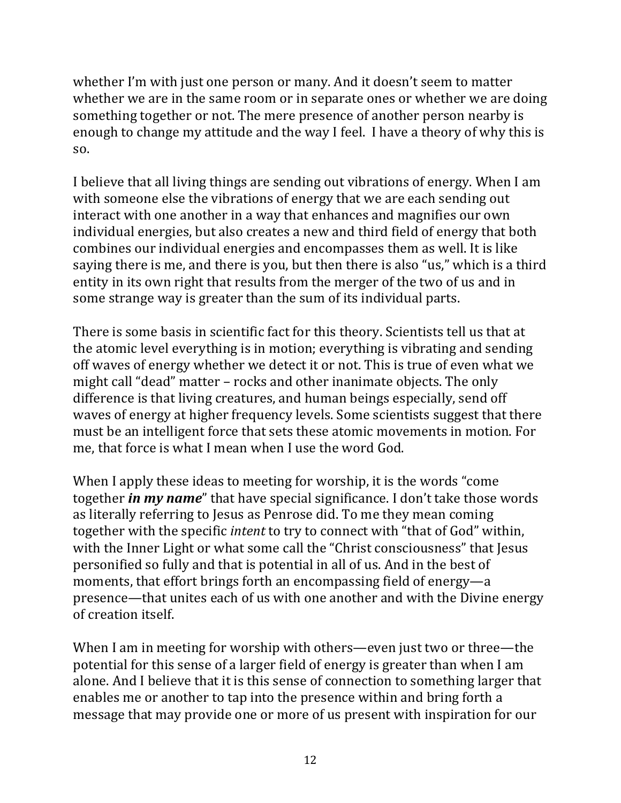whether I'm with just one person or many. And it doesn't seem to matter whether we are in the same room or in separate ones or whether we are doing something together or not. The mere presence of another person nearby is enough to change my attitude and the way I feel. I have a theory of why this is so.!

I believe that all living things are sending out vibrations of energy. When I am with someone else the vibrations of energy that we are each sending out interact with one another in a way that enhances and magnifies our own individual energies, but also creates a new and third field of energy that both combines our individual energies and encompasses them as well. It is like saying there is me, and there is you, but then there is also "us," which is a third entity in its own right that results from the merger of the two of us and in some strange way is greater than the sum of its individual parts.

There is some basis in scientific fact for this theory. Scientists tell us that at the atomic level everything is in motion; everything is vibrating and sending off waves of energy whether we detect it or not. This is true of even what we might call "dead" matter – rocks and other inanimate objects. The only difference is that living creatures, and human beings especially, send off waves of energy at higher frequency levels. Some scientists suggest that there must be an intelligent force that sets these atomic movements in motion. For me, that force is what I mean when I use the word God.

When I apply these ideas to meeting for worship, it is the words "come" together *in my name*" that have special significance. I don't take those words as literally referring to Jesus as Penrose did. To me they mean coming together with the specific *intent* to try to connect with "that of God" within, with the Inner Light or what some call the "Christ consciousness" that Jesus personified so fully and that is potential in all of us. And in the best of moments, that effort brings forth an encompassing field of energy—a presence—that unites each of us with one another and with the Divine energy of creation itself.

When I am in meeting for worship with others—even just two or three—the potential for this sense of a larger field of energy is greater than when I am alone. And I believe that it is this sense of connection to something larger that enables me or another to tap into the presence within and bring forth a message that may provide one or more of us present with inspiration for our